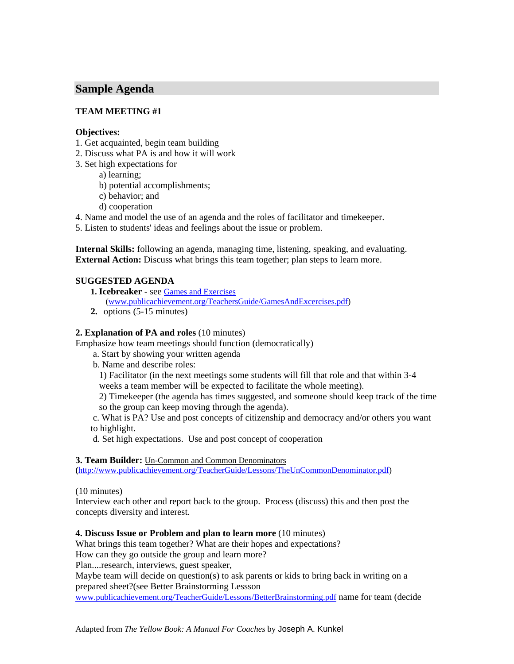# **Sample Agenda**

# **TEAM MEETING #1**

### **Objectives:**

- 1. Get acquainted, begin team building
- 2. Discuss what PA is and how it will work
- 3. Set high expectations for
	- a) learning;
	- b) potential accomplishments;
	- c) behavior; and
	- d) cooperation
- 4. Name and model the use of an agenda and the roles of facilitator and timekeeper.

5. Listen to students' ideas and feelings about the issue or problem.

**Internal Skills:** following an agenda, managing time, listening, speaking, and evaluating. **External Action:** Discuss what brings this team together; plan steps to learn more.

# **SUGGESTED AGENDA**

- **1. Icebreaker**  see Games and Exercises
	- (www.publicachievement.org/TeachersGuide/GamesAndExcercises.pdf)
- **2.** options (5-15 minutes)

#### **2. Explanation of PA and roles** (10 minutes)

Emphasize how team meetings should function (democratically)

a. Start by showing your written agenda

b. Name and describe roles:

1) Facilitator (in the next meetings some students will fill that role and that within 3-4

weeks a team member will be expected to facilitate the whole meeting).

2) Timekeeper (the agenda has times suggested, and someone should keep track of the time so the group can keep moving through the agenda).

 c. What is PA? Use and post concepts of citizenship and democracy and/or others you want to highlight.

d. Set high expectations. Use and post concept of cooperation

#### **3. Team Builder:** Un-Common and Common Denominators

**(**http://www.publicachievement.org/TeacherGuide/Lessons/TheUnCommonDenominator.pdf)

#### (10 minutes)

Interview each other and report back to the group. Process (discuss) this and then post the concepts diversity and interest.

### **4. Discuss Issue or Problem and plan to learn more** (10 minutes)

What brings this team together? What are their hopes and expectations? How can they go outside the group and learn more? Plan....research, interviews, guest speaker, Maybe team will decide on question(s) to ask parents or kids to bring back in writing on a prepared sheet?(see Better Brainstorming Lessson www.publicachievement.org/TeacherGuide/Lessons/BetterBrainstorming.pdf name for team (decide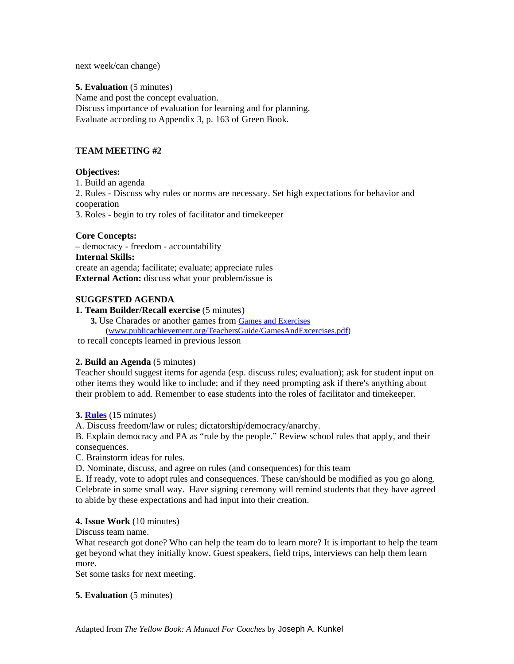next week/can change)

#### **5. Evaluation** (5 minutes)

Name and post the concept evaluation. Discuss importance of evaluation for learning and for planning. Evaluate according to Appendix 3, p. 163 of Green Book.

#### **TEAM MEETING #2**

#### **Objectives:**

1. Build an agenda

2. Rules - Discuss why rules or norms are necessary. Set high expectations for behavior and cooperation

3. Roles - begin to try roles of facilitator and timekeeper

#### **Core Concepts:**

– democracy - freedom - accountability **Internal Skills:**  create an agenda; facilitate; evaluate; appreciate rules **External Action:** discuss what your problem/issue is

#### **SUGGESTED AGENDA**

# **1. Team Builder/Recall exercise** (5 minutes)

**3.** Use Charades or another games from Games and Exercises (www.publicachievement.org/TeachersGuide/GamesAndExcercises.pdf)

to recall concepts learned in previous lesson

### **2. Build an Agenda** (5 minutes)

Teacher should suggest items for agenda (esp. discuss rules; evaluation); ask for student input on other items they would like to include; and if they need prompting ask if there's anything about their problem to add. Remember to ease students into the roles of facilitator and timekeeper.

#### **3. Rules** (15 minutes)

A. Discuss freedom/law or rules; dictatorship/democracy/anarchy.

B. Explain democracy and PA as "rule by the people." Review school rules that apply, and their consequences.

C. Brainstorm ideas for rules.

D. Nominate, discuss, and agree on rules (and consequences) for this team

E. If ready, vote to adopt rules and consequences. These can/should be modified as you go along. Celebrate in some small way. Have signing ceremony will remind students that they have agreed to abide by these expectations and had input into their creation.

### **4. Issue Work** (10 minutes)

Discuss team name.

What research got done? Who can help the team do to learn more? It is important to help the team get beyond what they initially know. Guest speakers, field trips, interviews can help them learn more.

Set some tasks for next meeting.

### **5. Evaluation** (5 minutes)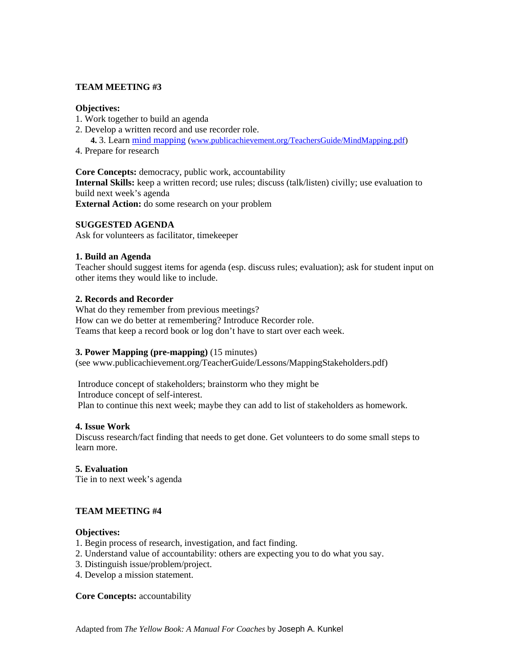# **TEAM MEETING #3**

### **Objectives:**

- 1. Work together to build an agenda
- 2. Develop a written record and use recorder role.

**4.** 3. Learn mind mapping (www.publicachievement.org/TeachersGuide/MindMapping.pdf)

4. Prepare for research

**Core Concepts:** democracy, public work, accountability **Internal Skills:** keep a written record; use rules; discuss (talk/listen) civilly; use evaluation to build next week's agenda **External Action:** do some research on your problem

#### **SUGGESTED AGENDA**

Ask for volunteers as facilitator, timekeeper

#### **1. Build an Agenda**

Teacher should suggest items for agenda (esp. discuss rules; evaluation); ask for student input on other items they would like to include.

#### **2. Records and Recorder**

What do they remember from previous meetings? How can we do better at remembering? Introduce Recorder role. Teams that keep a record book or log don't have to start over each week.

#### **3. Power Mapping (pre-mapping)** (15 minutes)

(see www.publicachievement.org/TeacherGuide/Lessons/MappingStakeholders.pdf)

 Introduce concept of stakeholders; brainstorm who they might be Introduce concept of self-interest. Plan to continue this next week; maybe they can add to list of stakeholders as homework.

### **4. Issue Work**

Discuss research/fact finding that needs to get done. Get volunteers to do some small steps to learn more.

### **5. Evaluation**

Tie in to next week's agenda

### **TEAM MEETING #4**

#### **Objectives:**

- 1. Begin process of research, investigation, and fact finding.
- 2. Understand value of accountability: others are expecting you to do what you say.
- 3. Distinguish issue/problem/project.
- 4. Develop a mission statement.

#### **Core Concepts:** accountability